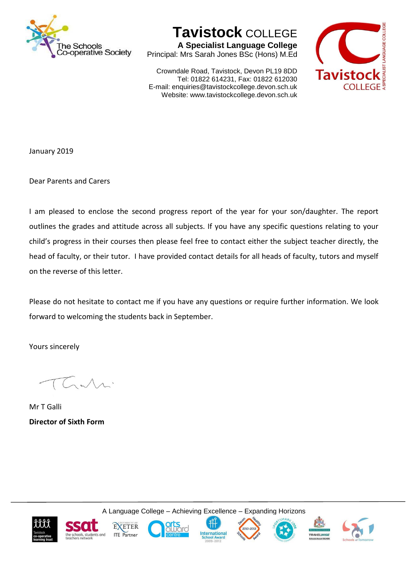

**Tavistock** COLLEGE

**A Specialist Language College** Principal: Mrs Sarah Jones BSc (Hons) M.Ed

Crowndale Road, Tavistock, Devon PL19 8DD Tel: 01822 614231, Fax: 01822 612030 E-mail: enquiries@tavistockcollege.devon.sch.uk Website: www.tavistockcollege.devon.sch.uk



January 2019

Dear Parents and Carers

I am pleased to enclose the second progress report of the year for your son/daughter. The report outlines the grades and attitude across all subjects. If you have any specific questions relating to your child's progress in their courses then please feel free to contact either the subject teacher directly, the head of faculty, or their tutor. I have provided contact details for all heads of faculty, tutors and myself on the reverse of this letter.

Please do not hesitate to contact me if you have any questions or require further information. We look forward to welcoming the students back in September.

Yours sincerely

Mr T Galli **Director of Sixth Form**

A Language College – Achieving Excellence – Expanding Horizons













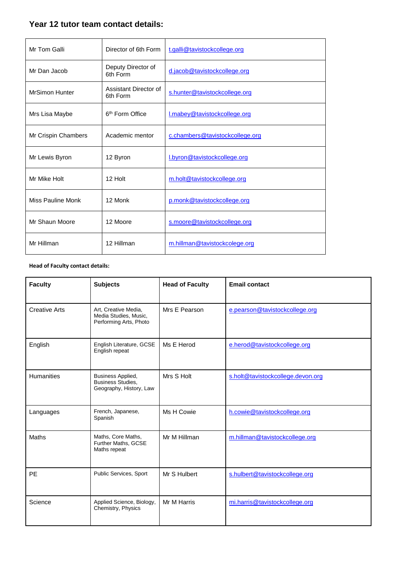## **Year 12 tutor team contact details:**

| Mr Tom Galli             | Director of 6th Form              | t.galli@tavistockcollege.org    |  |
|--------------------------|-----------------------------------|---------------------------------|--|
| Mr Dan Jacob             | Deputy Director of<br>6th Form    | d.jacob@tavistockcollege.org    |  |
| <b>MrSimon Hunter</b>    | Assistant Director of<br>6th Form | s.hunter@tavistockcollege.org   |  |
| Mrs Lisa Maybe           | 6 <sup>th</sup> Form Office       | I.mabey@tavistockcollege.org    |  |
| Mr Crispin Chambers      | Academic mentor                   | c.chambers@tavistockcollege.org |  |
| Mr Lewis Byron           | 12 Byron                          | I.byron@tavistockcollege.org    |  |
| Mr Mike Holt             | 12 Holt                           | m.holt@tavistockcollege.org     |  |
| <b>Miss Pauline Monk</b> | 12 Monk                           | p.monk@tavistockcollege.org     |  |
| Mr Shaun Moore           | 12 Moore                          | s.moore@tavistockcollege.org    |  |
| Mr Hillman               | 12 Hillman                        | m.hillman@tavistockcolege.org   |  |

## **Head of Faculty contact details:**

| <b>Faculty</b>       | <b>Subjects</b>                                                          | <b>Head of Faculty</b> | <b>Email contact</b>              |
|----------------------|--------------------------------------------------------------------------|------------------------|-----------------------------------|
| <b>Creative Arts</b> | Art, Creative Media,<br>Media Studies, Music,<br>Performing Arts, Photo  | Mrs E Pearson          | e.pearson@tavistockcollege.org    |
| English              | English Literature, GCSE<br>English repeat                               | Ms E Herod             | e.herod@tavistockcollege.org      |
| <b>Humanities</b>    | Business Applied,<br><b>Business Studies,</b><br>Geography, History, Law | Mrs S Holt             | s.holt@tavistockcollege.devon.org |
| Languages            | French, Japanese,<br>Spanish                                             | Ms H Cowie             | h.cowie@tavistockcollege.org      |
| <b>Maths</b>         | Maths, Core Maths,<br>Further Maths, GCSE<br>Maths repeat                | Mr M Hillman           | m.hillman@tavistockcollege.org    |
| <b>PE</b>            | Public Services, Sport                                                   | Mr S Hulbert           | s.hulbert@tavistockcollege.org    |
| Science              | Applied Science, Biology,<br>Chemistry, Physics                          | Mr M Harris            | mi.harris@tavistockcollege.org    |